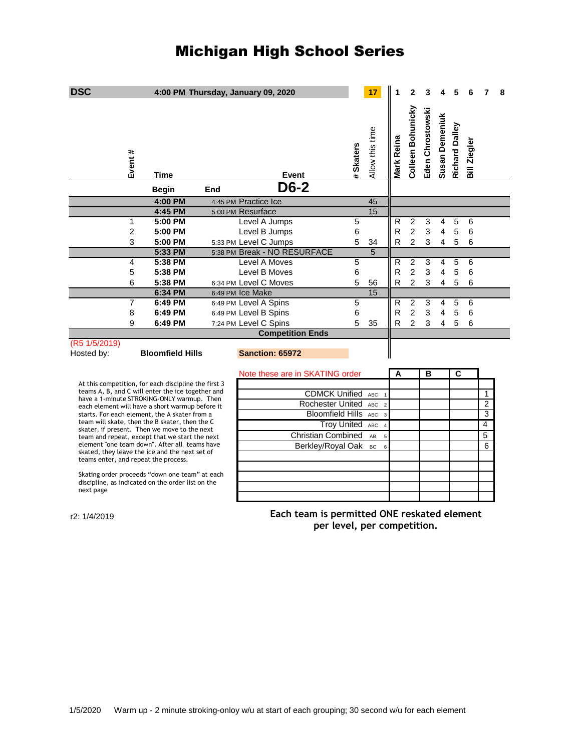## Michigan High School Series

| <b>DSC</b>                                                                                                                                                                                                                                                  |                | 4:00 PM Thursday, January 09, 2020 |                      |                                        |                              |                                                                            |           | 17              |                    | $\mathbf{2}$      | 3                |                |                       |                |   | 8 |
|-------------------------------------------------------------------------------------------------------------------------------------------------------------------------------------------------------------------------------------------------------------|----------------|------------------------------------|----------------------|----------------------------------------|------------------------------|----------------------------------------------------------------------------|-----------|-----------------|--------------------|-------------------|------------------|----------------|-----------------------|----------------|---|---|
|                                                                                                                                                                                                                                                             | Event #        | Time                               |                      |                                        | Event                        |                                                                            | # Skaters | Allow this time | <b>Vlark Reina</b> | Colleen Bohunicky | Eden Chrostowski | Susan Demeniuk | <b>Richard Dalley</b> | Bill Ziegler   |   |   |
|                                                                                                                                                                                                                                                             |                | <b>Begin</b>                       | End                  |                                        | D6-2                         |                                                                            |           |                 |                    |                   |                  |                |                       |                |   |   |
|                                                                                                                                                                                                                                                             |                | 4:00 PM                            | 4:45 PM Practice Ice |                                        |                              |                                                                            |           | 45              |                    |                   |                  |                |                       |                |   |   |
|                                                                                                                                                                                                                                                             |                | 4:45 PM                            | 5:00 PM Resurface    |                                        |                              |                                                                            |           | $\overline{15}$ |                    |                   |                  |                |                       |                |   |   |
|                                                                                                                                                                                                                                                             | $\mathbf{1}$   | 5:00 PM                            |                      |                                        | Level A Jumps                |                                                                            | 5         |                 | R                  | $\overline{2}$    | 3                | 4              | 5                     | 6              |   |   |
|                                                                                                                                                                                                                                                             | 2              | 5:00 PM                            |                      |                                        | Level B Jumps                |                                                                            | 6         |                 | R                  | $\overline{2}$    | 3                | $\overline{4}$ | 5                     | 6              |   |   |
|                                                                                                                                                                                                                                                             | 3              | 5:00 PM                            |                      |                                        | 5:33 PM Level C Jumps        |                                                                            | 5         | 34              | R                  | $\overline{2}$    | 3                | 4              | 5                     | 6              |   |   |
|                                                                                                                                                                                                                                                             |                | 5:33 PM                            |                      |                                        | 5:38 PM Break - NO RESURFACE |                                                                            |           | $\overline{5}$  |                    |                   |                  |                |                       |                |   |   |
|                                                                                                                                                                                                                                                             | 4              | 5:38 PM                            |                      |                                        | Level A Moves                |                                                                            | 5         |                 | R                  | $\overline{2}$    | 3                | 4              | 5                     | 6              |   |   |
|                                                                                                                                                                                                                                                             | 5              | 5:38 PM                            |                      |                                        | Level B Moves                |                                                                            | 6         |                 | R                  | $\overline{2}$    | 3                | 4              | 5                     | 6              |   |   |
|                                                                                                                                                                                                                                                             | 6              | 5:38 PM                            |                      |                                        | 6:34 PM Level C Moves        |                                                                            | 5         | 56              | R                  | $\overline{2}$    | 3                | 4              | 5                     | 6              |   |   |
|                                                                                                                                                                                                                                                             |                | 6:34 PM                            | 6:49 PM Ice Make     |                                        |                              |                                                                            |           | 15              |                    |                   |                  |                |                       |                |   |   |
|                                                                                                                                                                                                                                                             | $\overline{7}$ | 6:49 PM                            |                      |                                        | 6:49 PM Level A Spins        |                                                                            | 5         |                 | R                  | 2                 | 3                | 4              | 5                     | 6              |   |   |
|                                                                                                                                                                                                                                                             | 8              | 6:49 PM                            |                      |                                        | 6:49 PM Level B Spins        |                                                                            | 6         |                 | R                  | $\overline{c}$    | 3                | 4              | 5                     | 6              |   |   |
|                                                                                                                                                                                                                                                             | 9              | 6:49 PM                            |                      |                                        | 7:24 PM Level C Spins        |                                                                            | 5         | 35              | R                  | $\overline{2}$    | 3                | 4              | 5                     | 6              |   |   |
|                                                                                                                                                                                                                                                             |                |                                    |                      |                                        | <b>Competition Ends</b>      |                                                                            |           |                 |                    |                   |                  |                |                       |                |   |   |
| (R5 1/5/2019)<br>Hosted by:                                                                                                                                                                                                                                 |                | <b>Bloomfield Hills</b>            |                      |                                        | Sanction: 65972              |                                                                            |           |                 |                    |                   |                  |                |                       |                |   |   |
|                                                                                                                                                                                                                                                             |                |                                    |                      |                                        |                              | Note these are in SKATING order                                            |           |                 | Α                  |                   | в                |                | C                     |                |   |   |
| At this competition, for each discipline the first 3<br>teams A, B, and C will enter the ice together and<br>have a 1-minute STROKING-ONLY warmup. Then<br>each element will have a short warmup before it<br>starts. For each element, the A skater from a |                |                                    |                      |                                        |                              |                                                                            |           |                 |                    |                   |                  |                |                       |                |   |   |
|                                                                                                                                                                                                                                                             |                |                                    |                      | <b>CDMCK Unified ABC</b>               |                              |                                                                            |           |                 |                    |                   |                  |                |                       | 1              |   |   |
|                                                                                                                                                                                                                                                             |                |                                    |                      | Rochester United ABC<br>$\overline{2}$ |                              |                                                                            |           |                 |                    |                   |                  |                |                       | $\overline{2}$ |   |   |
|                                                                                                                                                                                                                                                             |                |                                    |                      | Bloomfield Hills ABC<br>$\overline{3}$ |                              |                                                                            |           |                 |                    |                   |                  |                |                       | 3              |   |   |
| team will skate, then the B skater, then the C                                                                                                                                                                                                              |                |                                    |                      |                                        |                              | <b>Troy United ABC</b>                                                     |           |                 |                    |                   |                  |                |                       |                | 4 |   |
| skater, if present. Then we move to the next<br>team and repeat, except that we start the next<br>element "one team down". After all teams have<br>skated, they leave the ice and the next set of<br>teams enter, and repeat the process.                   |                |                                    |                      | <b>Christian Combined</b><br>AB<br>5   |                              |                                                                            |           |                 |                    |                   |                  |                |                       | 5              |   |   |
|                                                                                                                                                                                                                                                             |                |                                    |                      |                                        |                              | Berkley/Royal Oak BC                                                       |           | 6               |                    |                   |                  |                |                       |                | 6 |   |
|                                                                                                                                                                                                                                                             |                |                                    |                      |                                        |                              |                                                                            |           |                 |                    |                   |                  |                |                       |                |   |   |
| Skating order proceeds "down one team" at each<br>discipline, as indicated on the order list on the<br>next page                                                                                                                                            |                |                                    |                      |                                        |                              |                                                                            |           |                 |                    |                   |                  |                |                       |                |   |   |
| r2: 1/4/2019                                                                                                                                                                                                                                                |                |                                    |                      |                                        |                              | Each team is permitted ONE reskated element<br>per level, per competition. |           |                 |                    |                   |                  |                |                       |                |   |   |